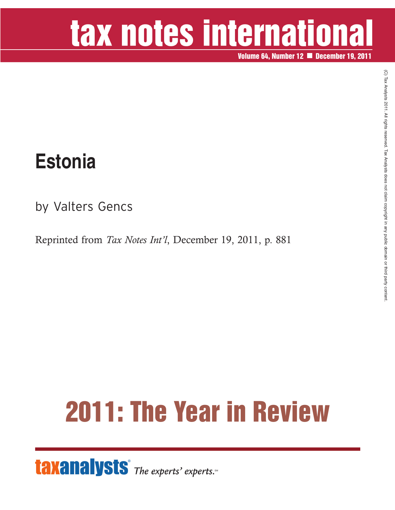# tax notes international

**Volume 64, Number 12 December 19, 2011**

#### **Estonia**

by Valters Gencs

Reprinted from *Tax Notes Int'l*, December 19, 2011, p. 881

## **2011: The Year in Review**

**taxanalysts** The experts' experts.<sup>®</sup>